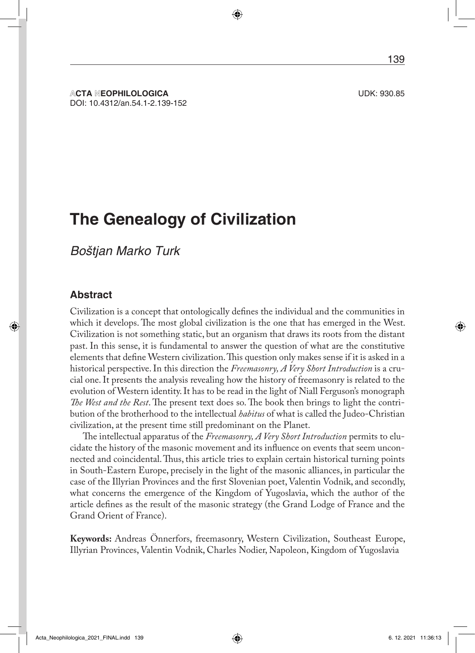**ACTA NEOPHILOLOGICA** UDK: 930.85 DOI: 10.4312/an.54.1-2.139-152

# **The Genealogy of Civilization**

*Boštjan Marko Turk*

#### **Abstract**

Civilization is a concept that ontologically defines the individual and the communities in which it develops. The most global civilization is the one that has emerged in the West. Civilization is not something static, but an organism that draws its roots from the distant past. In this sense, it is fundamental to answer the question of what are the constitutive elements that define Western civilization. This question only makes sense if it is asked in a historical perspective. In this direction the *Freemasonry, A Very Short Introduction* is a crucial one. It presents the analysis revealing how the history of freemasonry is related to the evolution of Western identity. It has to be read in the light of Niall Ferguson's monograph *The West and the Rest*. The present text does so. The book then brings to light the contribution of the brotherhood to the intellectual *habitus* of what is called the Judeo-Christian civilization, at the present time still predominant on the Planet.

The intellectual apparatus of the *Freemasonry, A Very Short Introduction* permits to elucidate the history of the masonic movement and its influence on events that seem unconnected and coincidental. Thus, this article tries to explain certain historical turning points in South-Eastern Europe, precisely in the light of the masonic alliances, in particular the case of the Illyrian Provinces and the first Slovenian poet, Valentin Vodnik, and secondly, what concerns the emergence of the Kingdom of Yugoslavia, which the author of the article defines as the result of the masonic strategy (the Grand Lodge of France and the Grand Orient of France).

**Keywords:** Andreas Önnerfors, freemasonry, Western Civilization, Southeast Europe, Illyrian Provinces, Valentin Vodnik, Charles Nodier, Napoleon, Kingdom of Yugoslavia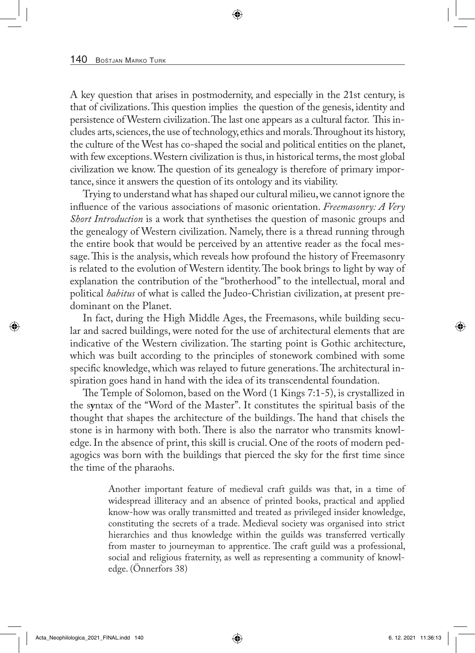A key question that arises in postmodernity, and especially in the 21st century, is that of civilizations. This question implies the question of the genesis, identity and persistence of Western civilization. The last one appears as a cultural factor. This includes arts, sciences, the use of technology, ethics and morals. Throughout its history, the culture of the West has co-shaped the social and political entities on the planet, with few exceptions. Western civilization is thus, in historical terms, the most global civilization we know. The question of its genealogy is therefore of primary importance, since it answers the question of its ontology and its viability.

Trying to understand what has shaped our cultural milieu, we cannot ignore the influence of the various associations of masonic orientation. *Freemasonry: A Very Short Introduction* is a work that synthetises the question of masonic groups and the genealogy of Western civilization. Namely, there is a thread running through the entire book that would be perceived by an attentive reader as the focal message. This is the analysis, which reveals how profound the history of Freemasonry is related to the evolution of Western identity. The book brings to light by way of explanation the contribution of the "brotherhood" to the intellectual, moral and political *habitus* of what is called the Judeo-Christian civilization, at present predominant on the Planet.

In fact, during the High Middle Ages, the Freemasons, while building secular and sacred buildings, were noted for the use of architectural elements that are indicative of the Western civilization. The starting point is Gothic architecture, which was built according to the principles of stonework combined with some specific knowledge, which was relayed to future generations. The architectural inspiration goes hand in hand with the idea of its transcendental foundation.

The Temple of Solomon, based on the Word (1 Kings 7:1-5), is crystallized in the s**y**ntax of the "Word of the Master". It constitutes the spiritual basis of the thought that shapes the architecture of the buildings. The hand that chisels the stone is in harmony with both. There is also the narrator who transmits knowledge. In the absence of print, this skill is crucial. One of the roots of modern pedagogics was born with the buildings that pierced the sky for the first time since the time of the pharaohs.

> Another important feature of medieval craft guilds was that, in a time of widespread illiteracy and an absence of printed books, practical and applied know-how was orally transmitted and treated as privileged insider knowledge, constituting the secrets of a trade. Medieval society was organised into strict hierarchies and thus knowledge within the guilds was transferred vertically from master to journeyman to apprentice. The craft guild was a professional, social and religious fraternity, as well as representing a community of knowledge. (Önnerfors 38)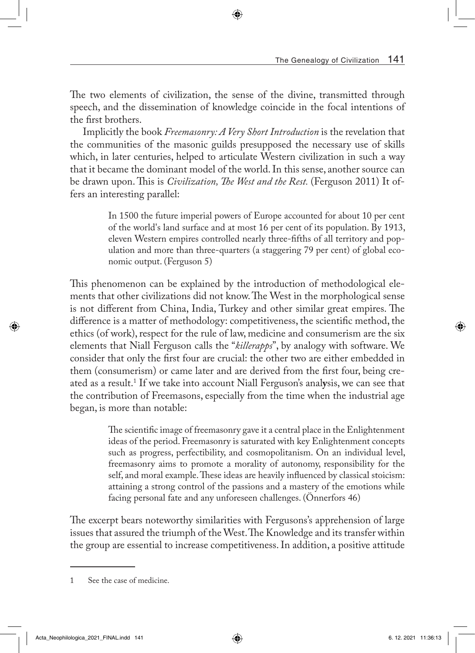The two elements of civilization, the sense of the divine, transmitted through speech, and the dissemination of knowledge coincide in the focal intentions of the first brothers.

Implicitly the book *Freemasonry: A Very Short Introduction* is the revelation that the communities of the masonic guilds presupposed the necessary use of skills which, in later centuries, helped to articulate Western civilization in such a way that it became the dominant model of the world. In this sense, another source can be drawn upon. This is *Civilization, The West and the Rest.* (Ferguson 2011) It offers an interesting parallel:

> In 1500 the future imperial powers of Europe accounted for about 10 per cent of the world's land surface and at most 16 per cent of its population. By 1913, eleven Western empires controlled nearly three-fifths of all territory and population and more than three-quarters (a staggering 79 per cent) of global economic output. (Ferguson 5)

This phenomenon can be explained by the introduction of methodological elements that other civilizations did not know. The West in the morphological sense is not different from China, India, Turkey and other similar great empires. The difference is a matter of methodology: competitiveness, the scientific method, the ethics (of work), respect for the rule of law, medicine and consumerism are the six elements that Niall Ferguson calls the "*killerapps*", by analogy with software. We consider that only the first four are crucial: the other two are either embedded in them (consumerism) or came later and are derived from the first four, being created as a result.1 If we take into account Niall Ferguson's anal**y**sis, we can see that the contribution of Freemasons, especially from the time when the industrial age began, is more than notable:

> The scientific image of freemasonry gave it a central place in the Enlightenment ideas of the period. Freemasonry is saturated with key Enlightenment concepts such as progress, perfectibility, and cosmopolitanism. On an individual level, freemasonry aims to promote a morality of autonomy, responsibility for the self, and moral example. These ideas are heavily influenced by classical stoicism: attaining a strong control of the passions and a mastery of the emotions while facing personal fate and any unforeseen challenges. (Önnerfors 46)

The excerpt bears noteworthy similarities with Fergusons's apprehension of large issues that assured the triumph of the West. The Knowledge and its transfer within the group are essential to increase competitiveness. In addition, a positive attitude

<sup>1</sup> See the case of medicine.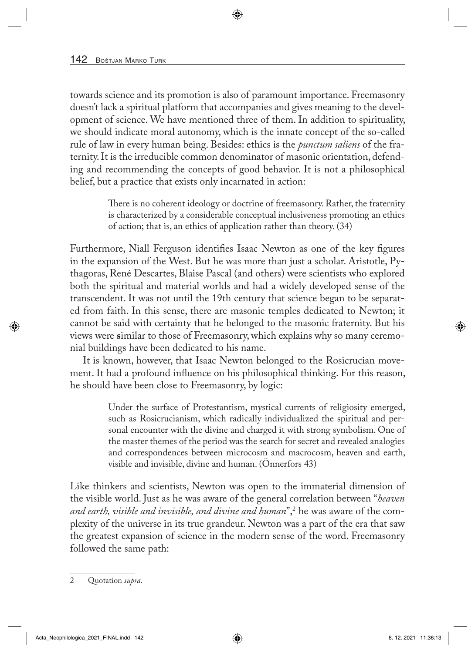towards science and its promotion is also of paramount importance. Freemasonry doesn't lack a spiritual platform that accompanies and gives meaning to the development of science. We have mentioned three of them. In addition to spirituality, we should indicate moral autonomy, which is the innate concept of the so-called rule of law in every human being. Besides: ethics is the *punctum saliens* of the fraternity. It is the irreducible common denominator of masonic orientation, defending and recommending the concepts of good behavior. It is not a philosophical belief, but a practice that exists only incarnated in action:

> There is no coherent ideology or doctrine of freemasonry. Rather, the fraternity is characterized by a considerable conceptual inclusiveness promoting an ethics of action; that is, an ethics of application rather than theory. (34)

Furthermore, Niall Ferguson identifies Isaac Newton as one of the key figures in the expansion of the West. But he was more than just a scholar. Aristotle, Pythagoras, René Descartes, Blaise Pascal (and others) were scientists who explored both the spiritual and material worlds and had a widely developed sense of the transcendent. It was not until the 19th century that science began to be separated from faith. In this sense, there are masonic temples dedicated to Newton; it cannot be said with certainty that he belonged to the masonic fraternity. But his views were **s**imilar to those of Freemasonry, which explains why so many ceremonial buildings have been dedicated to his name.

It is known, however, that Isaac Newton belonged to the Rosicrucian movement. It had a profound influence on his philosophical thinking. For this reason, he should have been close to Freemasonry, by logic:

> Under the surface of Protestantism, mystical currents of religiosity emerged, such as Rosicrucianism, which radically individualized the spiritual and personal encounter with the divine and charged it with strong symbolism. One of the master themes of the period was the search for secret and revealed analogies and correspondences between microcosm and macrocosm, heaven and earth, visible and invisible, divine and human. (Önnerfors 43)

Like thinkers and scientists, Newton was open to the immaterial dimension of the visible world. Just as he was aware of the general correlation between "*heaven and earth, visible and invisible, and divine and human*",2 he was aware of the complexity of the universe in its true grandeur. Newton was a part of the era that saw the greatest expansion of science in the modern sense of the word. Freemasonry followed the same path:

<sup>2</sup> Quotation *supra*.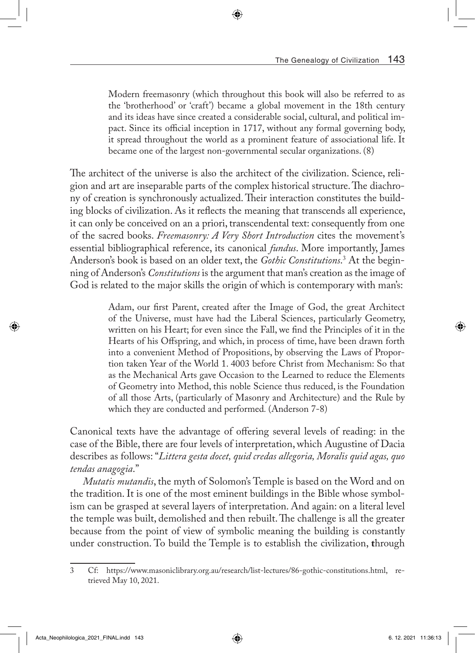Modern freemasonry (which throughout this book will also be referred to as the 'brotherhood' or 'craft') became a global movement in the 18th century and its ideas have since created a considerable social, cultural, and political impact. Since its official inception in 1717, without any formal governing body, it spread throughout the world as a prominent feature of associational life. It became one of the largest non-governmental secular organizations. (8)

The architect of the universe is also the architect of the civilization. Science, religion and art are inseparable parts of the complex historical structure. The diachrony of creation is synchronously actualized. Their interaction constitutes the building blocks of civilization. As it reflects the meaning that transcends all experience, it can only be conceived on an a priori, transcendental text: consequently from one of the sacred books. *Freemasonry: A Very Short Introduction* cites the movement's essential bibliographical reference, its canonical *fundus*. More importantly, James Anderson's book is based on an older text, the *Gothic Constitutions*. 3 At the beginning of Anderson's *Constitutions* is the argument that man's creation as the image of God is related to the major skills the origin of which is contemporary with man's:

> Adam, our first Parent, created after the Image of God, the great Architect of the Universe, must have had the Liberal Sciences, particularly Geometry, written on his Heart; for even since the Fall, we find the Principles of it in the Hearts of his Offspring, and which, in process of time, have been drawn forth into a convenient Method of Propositions, by observing the Laws of Proportion taken Year of the World 1. 4003 before Christ from Mechanism: So that as the Mechanical Arts gave Occasion to the Learned to reduce the Elements of Geometry into Method, this noble Science thus reduced, is the Foundation of all those Arts, (particularly of Masonry and Architecture) and the Rule by which they are conducted and performed*.* (Anderson 7-8)

Canonical texts have the advantage of offering several levels of reading: in the case of the Bible, there are four levels of interpretation, which Augustine of Dacia describes as follows: "*Littera gesta docet, quid credas allegoria, Moralis quid agas, quo tendas anagogia*."

*Mutatis mutandis*, the myth of Solomon's Temple is based on the Word and on the tradition. It is one of the most eminent buildings in the Bible whose symbolism can be grasped at several layers of interpretation. And again: on a literal level the temple was built, demolished and then rebuilt. The challenge is all the greater because from the point of view of symbolic meaning the building is constantly under construction. To build the Temple is to establish the civilization, **t**hrough

<sup>3</sup> Cf: <https://www.masoniclibrary.org.au/research/list-lectures/86-gothic-constitutions.html>, retrieved May 10, 2021.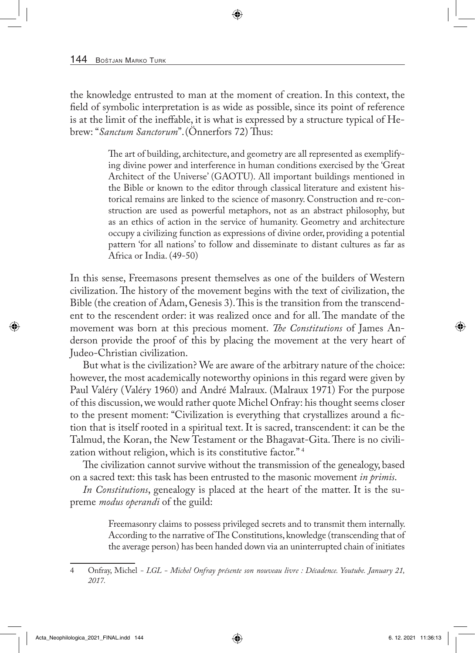the knowledge entrusted to man at the moment of creation. In this context, the field of symbolic interpretation is as wide as possible, since its point of reference is at the limit of the ineffable, it is what is expressed by a structure typical of Hebrew: "*Sanctum Sanctorum*".(Önnerfors 72) Thus:

> The art of building, architecture, and geometry are all represented as exemplifying divine power and interference in human conditions exercised by the 'Great Architect of the Universe' (GAOTU). All important buildings mentioned in the Bible or known to the editor through classical literature and existent historical remains are linked to the science of masonry. Construction and re-construction are used as powerful metaphors, not as an abstract philosophy, but as an ethics of action in the service of humanity. Geometry and architecture occupy a civilizing function as expressions of divine order, providing a potential pattern 'for all nations' to follow and disseminate to distant cultures as far as Africa or India. (49-50)

In this sense, Freemasons present themselves as one of the builders of Western civilization. The history of the movement begins with the text of civilization, the Bible (the creation of Adam, Genesis 3). This is the transition from the transcendent to the rescendent order: it was realized once and for all. The mandate of the movement was born at this precious moment. *The Constitutions* of James Anderson provide the proof of this by placing the movement at the very heart of Judeo-Christian civilization.

But what is the civilization? We are aware of the arbitrary nature of the choice: however, the most academically noteworthy opinions in this regard were given by Paul Valéry (Valéry 1960) and André Malraux. (Malraux 1971) For the purpose of this discussion, we would rather quote Michel Onfray: his thought seems closer to the present moment: "Civilization is everything that crystallizes around a fiction that is itself rooted in a spiritual text. It is sacred, transcendent: it can be the Talmud, the Koran, the New Testament or the Bhagavat-Gita. There is no civilization without religion, which is its constitutive factor." 4

The civilization cannot survive without the transmission of the genealogy, based on a sacred text: this task has been entrusted to the masonic movement *in primis*.

*In Constitutions*, genealogy is placed at the heart of the matter. It is the supreme *modus operandi* of the guild:

> Freemasonry claims to possess privileged secrets and to transmit them internally. According to the narrative of The Constitutions, knowledge (transcending that of the average person) has been handed down via an uninterrupted chain of initiates

<sup>4</sup> Onfray, Michel *- LGL - Michel Onfray présente son nouveau livre : Décadence. Youtube. January 21, 2017.*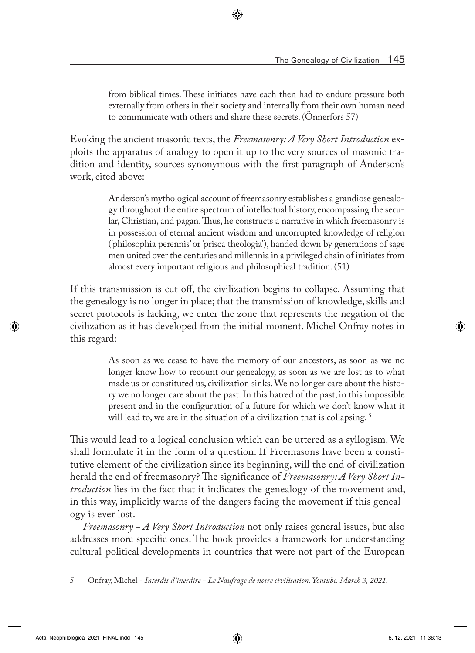from biblical times. These initiates have each then had to endure pressure both externally from others in their society and internally from their own human need to communicate with others and share these secrets. (Önnerfors 57)

Evoking the ancient masonic texts, the *Freemasonry: A Very Short Introduction* exploits the apparatus of analogy to open it up to the very sources of masonic tradition and identity, sources synonymous with the first paragraph of Anderson's work, cited above:

> Anderson's mythological account of freemasonry establishes a grandiose genealogy throughout the entire spectrum of intellectual history, encompassing the secular, Christian, and pagan. Thus, he constructs a narrative in which freemasonry is in possession of eternal ancient wisdom and uncorrupted knowledge of religion ('philosophia perennis' or 'prisca theologia'), handed down by generations of sage men united over the centuries and millennia in a privileged chain of initiates from almost every important religious and philosophical tradition. (51)

If this transmission is cut off, the civilization begins to collapse. Assuming that the genealogy is no longer in place; that the transmission of knowledge, skills and secret protocols is lacking, we enter the zone that represents the negation of the civilization as it has developed from the initial moment. Michel Onfray notes in this regard:

> As soon as we cease to have the memory of our ancestors, as soon as we no longer know how to recount our genealogy, as soon as we are lost as to what made us or constituted us, civilization sinks. We no longer care about the history we no longer care about the past. In this hatred of the past, in this impossible present and in the configuration of a future for which we don't know what it will lead to, we are in the situation of a civilization that is collapsing.<sup>5</sup>

This would lead to a logical conclusion which can be uttered as a syllogism. We shall formulate it in the form of a question. If Freemasons have been a constitutive element of the civilization since its beginning, will the end of civilization herald the end of freemasonry? The significance of *Freemasonry: A Very Short Introduction* lies in the fact that it indicates the genealogy of the movement and, in this way, implicitly warns of the dangers facing the movement if this genealogy is ever lost.

*Freemasonry - A Very Short Introduction* not only raises general issues, but also addresses more specific ones. The book provides a framework for understanding cultural-political developments in countries that were not part of the European

<sup>5</sup> Onfray, Michel *- Interdit d'inerdire - Le Naufrage de notre civilisation. Youtube. March 3, 2021.*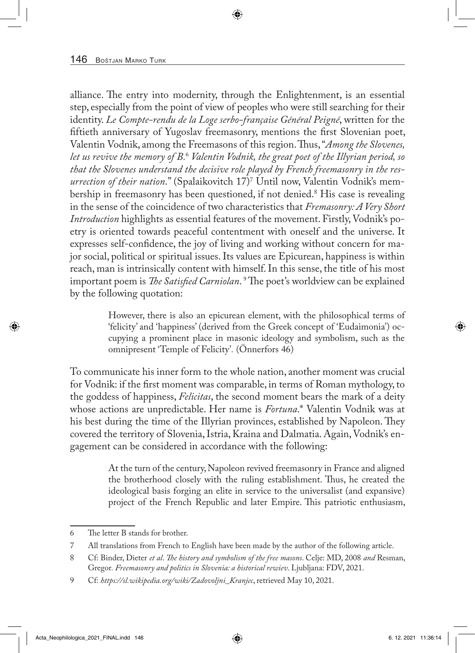alliance. The entry into modernity, through the Enlightenment, is an essential step, especially from the point of view of peoples who were still searching for their identity. *Le Compte-rendu de la Loge serbo-française Général Peigné*, written for the fiftieth anniversary of Yugoslav freemasonry, mentions the first Slovenian poet, Valentin Vodnik, among the Freemasons of this region. Thus, "*Among the Slovenes, let us revive the memory of B.*<sup>6</sup>  *Valentin Vodnik, the great poet of the Illyrian period, so that the Slovenes understand the decisive role played by French freemasonry in the resurrection of their nation*." (Spalaikovitch 17)7 Until now, Valentin Vodnik's membership in freemasonry has been questioned, if not denied.<sup>8</sup> His case is revealing in the sense of the coincidence of two characteristics that *Fremasonry: A Very Short Introduction* highlights as essential features of the movement. Firstly, Vodnik's poetry is oriented towards peaceful contentment with oneself and the universe. It expresses self-confidence, the joy of living and working without concern for major social, political or spiritual issues. Its values are Epicurean, happiness is within reach, man is intrinsically content with himself. In this sense, the title of his most important poem is *The Satisfied Carniolan*. 9 The poet's worldview can be explained by the following quotation:

> However, there is also an epicurean element, with the philosophical terms of 'felicity' and 'happiness' (derived from the Greek concept of 'Eudaimonia') occupying a prominent place in masonic ideology and symbolism, such as the omnipresent 'Temple of Felicity'*.* (Önnerfors 46)

To communicate his inner form to the whole nation, another moment was crucial for Vodnik: if the first moment was comparable, in terms of Roman mythology, to the goddess of happiness, *Felicitas*, the second moment bears the mark of a deity whose actions are unpredictable. Her name is *Fortuna*.\* Valentin Vodnik was at his best during the time of the Illyrian provinces, established by Napoleon. They covered the territory of Slovenia, Istria, Kraina and Dalmatia. Again, Vodnik's engagement can be considered in accordance with the following:

> At the turn of the century, Napoleon revived freemasonry in France and aligned the brotherhood closely with the ruling establishment. Thus, he created the ideological basis forging an elite in service to the universalist (and expansive) project of the French Republic and later Empire. This patriotic enthusiasm,

<sup>6</sup> The letter B stands for brother.

<sup>7</sup> All translations from French to English have been made by the author of the following article.

<sup>8</sup> Cf: Binder, Dieter *et al*. *The history and symbolism of the free masons*. Celje: MD, 2008 *and* Resman, Gregor*. Freemasonry and politics in Slovenia: a historical rewiev*. Ljubljana: FDV, 2021.

<sup>9</sup> Cf: *https://sl.wikipedia.org/wiki/Zadovoljni\_Kranjec*, retrieved May 10, 2021.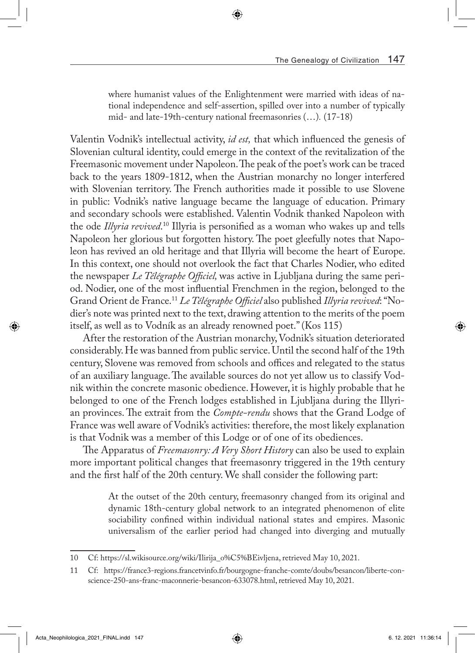where humanist values of the Enlightenment were married with ideas of national independence and self-assertion, spilled over into a number of typically mid- and late-19th-century national freemasonries (…)*.* (17-18)

Valentin Vodnik's intellectual activity, *id est,* that which influenced the genesis of Slovenian cultural identity, could emerge in the context of the revitalization of the Freemasonic movement under Napoleon. The peak of the poet's work can be traced back to the years 1809-1812, when the Austrian monarchy no longer interfered with Slovenian territory. The French authorities made it possible to use Slovene in public: Vodnik's native language became the language of education. Primary and secondary schools were established. Valentin Vodnik thanked Napoleon with the ode *Illyria revived*.<sup>10</sup> Illyria is personified as a woman who wakes up and tells Napoleon her glorious but forgotten history. The poet gleefully notes that Napoleon has revived an old heritage and that Illyria will become the heart of Europe. In this context, one should not overlook the fact that Charles Nodier, who edited the newspaper *Le Télégraphe Officiel,* was active in Ljubljana during the same period. Nodier, one of the most influential Frenchmen in the region, belonged to the Grand Orient de France.11 *Le Télégraphe Officiel* also published *Illyria revived*: "Nodier's note was printed next to the text, drawing attention to the merits of the poem itself, as well as to Vodník as an already renowned poet." (Kos 115)

After the restoration of the Austrian monarchy, Vodnik's situation deteriorated considerably. He was banned from public service. Until the second half of the 19th century, Slovene was removed from schools and offices and relegated to the status of an auxiliary language. The available sources do not yet allow us to classify Vodnik within the concrete masonic obedience. However, it is highly probable that he belonged to one of the French lodges established in Ljubljana during the Illyrian provinces. The extrait from the *Compte-rendu* shows that the Grand Lodge of France was well aware of Vodnik's activities: therefore, the most likely explanation is that Vodnik was a member of this Lodge or of one of its obediences.

The Apparatus of *Freemasonry: A Very Short History* can also be used to explain more important political changes that freemasonry triggered in the 19th century and the first half of the 20th century. We shall consider the following part:

> At the outset of the 20th century, freemasonry changed from its original and dynamic 18th-century global network to an integrated phenomenon of elite sociability confined within individual national states and empires. Masonic universalism of the earlier period had changed into diverging and mutually

<sup>10</sup> Cf: [https://sl.wikisource.org/wiki/Ilirija\\_o%C5%BEivljena,](https://sl.wikisource.org/wiki/Ilirija_o%C5%BEivljena) retrieved May 10, 2021.

<sup>11</sup> Cf: https://france3-regions.francetvinfo.fr/bourgogne-franche-comte/doubs/besancon/liberte-conscience-250-ans-franc-maconnerie-besancon-633078.html, retrieved May 10, 2021.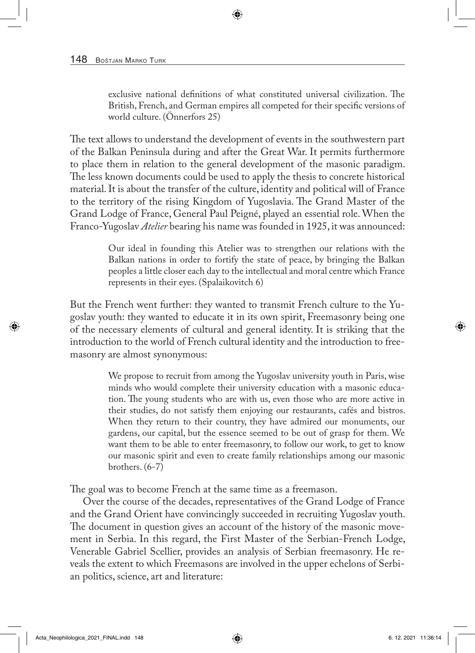exclusive national definitions of what constituted universal civilization. The British, French, and German empires all competed for their specific versions of world culture. (Önnerfors 25)

The text allows to understand the development of events in the southwestern part of the Balkan Peninsula during and after the Great War. It permits furthermore to place them in relation to the general development of the masonic paradigm. The less known documents could be used to apply the thesis to concrete historical material. It is about the transfer of the culture, identity and political will of France to the territory of the rising Kingdom of Yugoslavia. The Grand Master of the Grand Lodge of France, General Paul Peigné, played an essential role. When the Franco-Yugoslav *Atelier* bearing his name was founded in 1925, it was announced:

> Our ideal in founding this Atelier was to strengthen our relations with the Balkan nations in order to fortify the state of peace, by bringing the Balkan peoples a little closer each day to the intellectual and moral centre which France represents in their eyes. (Spalaikovitch 6)

But the French went further: they wanted to transmit French culture to the Yugoslav youth: they wanted to educate it in its own spirit, Freemasonry being one of the necessary elements of cultural and general identity. It is striking that the introduction to the world of French cultural identity and the introduction to freemasonry are almost synonymous:

> We propose to recruit from among the Yugoslav university youth in Paris, wise minds who would complete their university education with a masonic education. The young students who are with us, even those who are more active in their studies, do not satisfy them enjoying our restaurants, cafés and bistros. When they return to their country, they have admired our monuments, our gardens, our capital, but the essence seemed to be out of grasp for them. We want them to be able to enter freemasonry, to follow our work, to get to know our masonic spirit and even to create family relationships among our masonic brothers. (6-7)

The goal was to become French at the same time as a freemason.

Over the course of the decades, representatives of the Grand Lodge of France and the Grand Orient have convincingly succeeded in recruiting Yugoslav youth. The document in question gives an account of the history of the masonic movement in Serbia. In this regard, the First Master of the Serbian-French Lodge, Venerable Gabriel Scellier, provides an analysis of Serbian freemasonry. He reveals the extent to which Freemasons are involved in the upper echelons of Serbian politics, science, art and literature: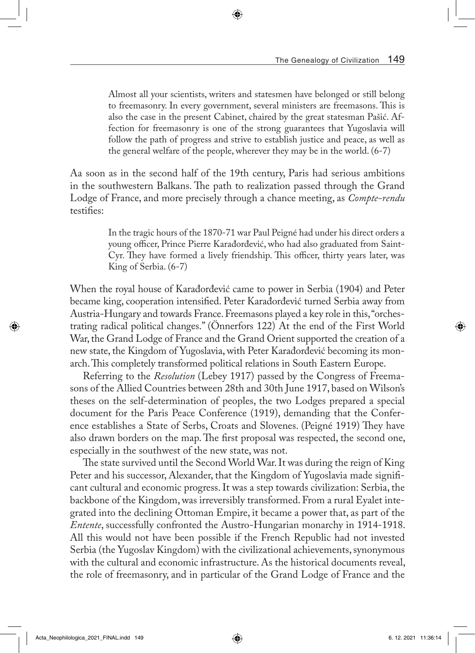Almost all your scientists, writers and statesmen have belonged or still belong to freemasonry. In every government, several ministers are freemasons. This is also the case in the present Cabinet, chaired by the great statesman Pašić. Affection for freemasonry is one of the strong guarantees that Yugoslavia will follow the path of progress and strive to establish justice and peace, as well as the general welfare of the people, wherever they may be in the world. (6-7)

Aa soon as in the second half of the 19th century, Paris had serious ambitions in the southwestern Balkans. The path to realization passed through the Grand Lodge of France, and more precisely through a chance meeting, as *Compte-rendu*  testifies:

> In the tragic hours of the 1870-71 war Paul Peigné had under his direct orders a young officer, Prince Pierre Karađorđević, who had also graduated from Saint-Cyr. They have formed a lively friendship. This officer, thirty years later, was King of Serbia. (6-7)

When the royal house of Karađorđević came to power in Serbia (1904) and Peter became king, cooperation intensified. Peter Karađorđević turned Serbia away from Austria-Hungary and towards France. Freemasons played a key role in this, "orchestrating radical political changes." (Önnerfors 122) At the end of the First World War, the Grand Lodge of France and the Grand Orient supported the creation of a new state, the Kingdom of Yugoslavia, with Peter Karađorđević becoming its monarch. This completely transformed political relations in South Eastern Europe.

Referring to the *Resolution* (Lebey 1917) passed by the Congress of Freemasons of the Allied Countries between 28th and 30th June 1917, based on Wilson's theses on the self-determination of peoples, the two Lodges prepared a special document for the Paris Peace Conference (1919), demanding that the Conference establishes a State of Serbs, Croats and Slovenes. (Peigné 1919) They have also drawn borders on the map. The first proposal was respected, the second one, especially in the southwest of the new state, was not.

The state survived until the Second World War. It was during the reign of King Peter and his successor, Alexander, that the Kingdom of Yugoslavia made significant cultural and economic progress. It was a step towards civilization: Serbia, the backbone of the Kingdom, was irreversibly transformed. From a rural Eyalet integrated into the declining Ottoman Empire, it became a power that, as part of the *Entente*, successfully confronted the Austro-Hungarian monarchy in 1914-1918. All this would not have been possible if the French Republic had not invested Serbia (the Yugoslav Kingdom) with the civilizational achievements, synonymous with the cultural and economic infrastructure. As the historical documents reveal, the role of freemasonry, and in particular of the Grand Lodge of France and the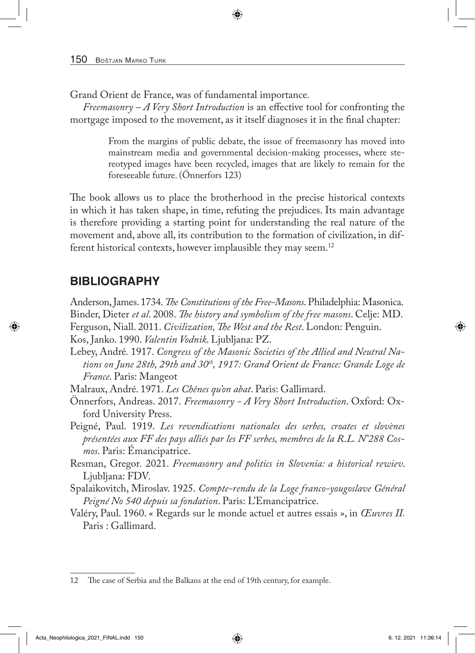Grand Orient de France, was of fundamental importance.

*Freemasonry – A Very Short Introduction* is an effective tool for confronting the mortgage imposed to the movement, as it itself diagnoses it in the final chapter:

> From the margins of public debate, the issue of freemasonry has moved into mainstream media and governmental decision-making processes, where stereotyped images have been recycled, images that are likely to remain for the foreseeable future. (Önnerfors 123)

The book allows us to place the brotherhood in the precise historical contexts in which it has taken shape, in time, refuting the prejudices. Its main advantage is therefore providing a starting point for understanding the real nature of the movement and, above all, its contribution to the formation of civilization, in different historical contexts, however implausible they may seem.12

# **BIBLIOGRAPHY**

Anderson, James. 1734. *The Constitutions of the Free-Masons*. Philadelphia: Masonica. Binder, Dieter *et al*. 2008. *The history and symbolism of the free masons*. Celje: MD. Ferguson, Niall. 2011. *Civilization, The West and the Rest*. London: Penguin. Kos, Janko. 1990. *Valentin Vodnik*. Ljubljana: PZ.

Lebey, André*.* 1917. *Congress of the Masonic Societies of the Allied and Neutral Na*tions on June 28th, 29th and 30<sup>th</sup>, 1917: Grand Orient de France: Grande Loge de *France*. Paris: Mangeot

Malraux, André. 1971. *Les Chênes qu'on abat*. Paris: Gallimard.

- Önnerfors, Andreas. 2017. *Freemasonry A Very Short Introduction*. Oxford: Oxford University Press.
- Peigné, Paul. 1919. *Les revendications nationales des serbes, croates et slovènes présentées aux FF des pays alliés par les FF serbes, membres de la R.L. N°288 Cosmos*. Paris: Émancipatrice.
- Resman, Gregor*.* 2021. *Freemasonry and politics in Slovenia: a historical rewiev*. Ljubljana: FDV.
- Spalaikovitch, Miroslav. 1925. *Compte-rendu de la Loge franco-yougoslave Général Peigné No 540 depuis sa fondation*. Paris: L'Emancipatrice.
- Valéry, Paul. 1960. « Regards sur le monde actuel et autres essais », in *Œuvres II.*  Paris : Gallimard.

<sup>12</sup> The case of Serbia and the Balkans at the end of 19th century, for example.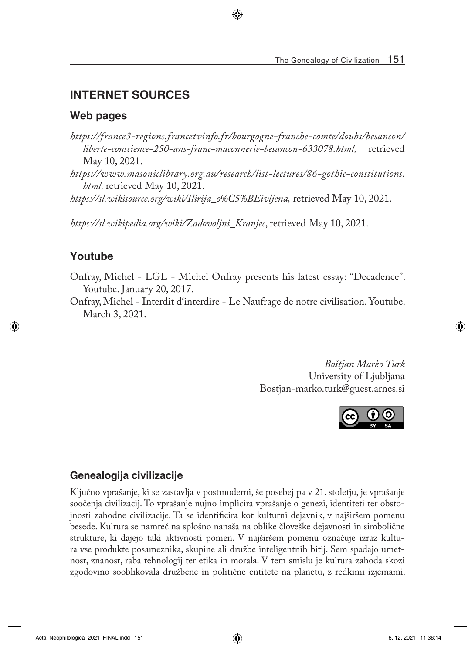# **INTERNET SOURCES**

#### **Web pages**

- *[https://france3-regions.francetvinfo.fr/bourgogne-franche-comte/doubs/besancon/](https://france3-regions.francetvinfo.fr/bourgogne-franche-comte/doubs/besancon/liberte-conscience-250-ans-franc-maconnerie-besancon-633078.html) [liberte-conscience-250-ans-franc-maconnerie-besancon-633078.html](https://france3-regions.francetvinfo.fr/bourgogne-franche-comte/doubs/besancon/liberte-conscience-250-ans-franc-maconnerie-besancon-633078.html),* retrieved May 10, 2021.
- *[https://www.masoniclibrary.org.au/research/list-lectures/86-gothic-constitutions.](https://www.masoniclibrary.org.au/research/list-lectures/86-gothic-constitutions.html) [html,](https://www.masoniclibrary.org.au/research/list-lectures/86-gothic-constitutions.html)* retrieved May 10, 2021.

*[https://sl.wikisource.org/wiki/Ilirija\\_o%C5%BEivljena,](https://sl.wikisource.org/wiki/Ilirija_o%C5%BEivljena)* retrieved May 10, 2021.

*[https://sl.wikipedia.org/wiki/Zadovoljni\\_Kranjec](https://sl.wikipedia.org/wiki/Zadovoljni_Kranjec)*, retrieved May 10, 2021.

## **Youtube**

Onfray, Michel - LGL - Michel Onfray presents his latest essay: "Decadence". Youtube. January 20, 2017.

Onfray, Michel - Interdit d'interdire - Le Naufrage de notre civilisation. Youtube. March 3, 2021.

> *Boštjan Marko Turk* University of Ljubljana Bostjan-marko.turk@guest.arnes.si



### **Genealogija civilizacije**

Ključno vprašanje, ki se zastavlja v postmoderni, še posebej pa v 21. stoletju, je vprašanje soočenja civilizacij. To vprašanje nujno implicira vprašanje o genezi, identiteti ter obstojnosti zahodne civilizacije. Ta se identificira kot kulturni dejavnik, v najširšem pomenu besede. Kultura se namreč na splošno nanaša na oblike človeške dejavnosti in simbolične strukture, ki dajejo taki aktivnosti pomen. V najširšem pomenu označuje izraz kultura vse produkte posameznika, skupine ali družbe inteligentnih bitij. Sem spadajo umetnost, znanost, raba tehnologij ter etika in morala. V tem smislu je kultura zahoda skozi zgodovino sooblikovala družbene in politične entitete na planetu, z redkimi izjemami.